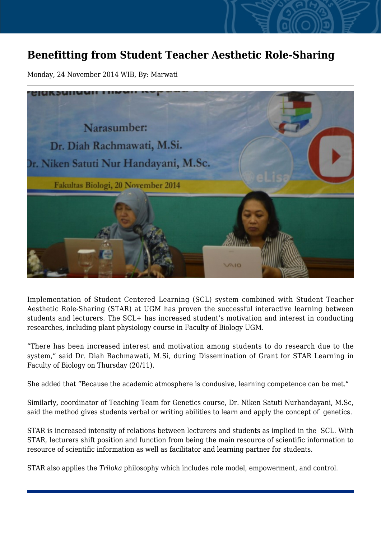## **Benefitting from Student Teacher Aesthetic Role-Sharing**

Monday, 24 November 2014 WIB, By: Marwati



Implementation of Student Centered Learning (SCL) system combined with Student Teacher Aesthetic Role-Sharing (STAR) at UGM has proven the successful interactive learning between students and lecturers. The SCL+ has increased student's motivation and interest in conducting researches, including plant physiology course in Faculty of Biology UGM.

"There has been increased interest and motivation among students to do research due to the system," said Dr. Diah Rachmawati, M.Si, during Dissemination of Grant for STAR Learning in Faculty of Biology on Thursday (20/11).

She added that "Because the academic atmosphere is condusive, learning competence can be met."

Similarly, coordinator of Teaching Team for Genetics course, Dr. Niken Satuti Nurhandayani, M.Sc, said the method gives students verbal or writing abilities to learn and apply the concept of genetics.

STAR is increased intensity of relations between lecturers and students as implied in the SCL. With STAR, lecturers shift position and function from being the main resource of scientific information to resource of scientific information as well as facilitator and learning partner for students.

STAR also applies the *Triloka* philosophy which includes role model, empowerment, and control.